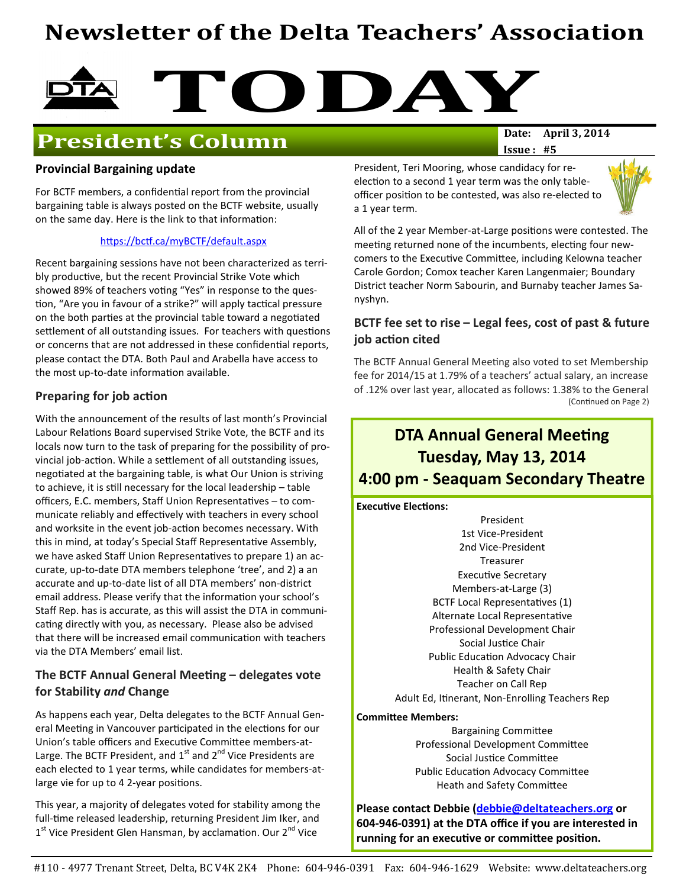# Newsletter of the Delta Teachers' Association



# **President's Column**

### Provincial Bargaining update

For BCTF members, a confidential report from the provincial bargaining table is always posted on the BCTF website, usually on the same day. Here is the link to that information:

#### https://bctf.ca/myBCTF/default.aspx

Recent bargaining sessions have not been characterized as terribly productive, but the recent Provincial Strike Vote which showed 89% of teachers voting "Yes" in response to the question, "Are you in favour of a strike?" will apply tactical pressure on the both parties at the provincial table toward a negotiated settlement of all outstanding issues. For teachers with questions or concerns that are not addressed in these confidential reports, please contact the DTA. Both Paul and Arabella have access to the most up-to-date information available.

#### Preparing for job action

With the announcement of the results of last month's Provincial Labour Relations Board supervised Strike Vote, the BCTF and its locals now turn to the task of preparing for the possibility of provincial job-action. While a settlement of all outstanding issues, negotiated at the bargaining table, is what Our Union is striving to achieve, it is still necessary for the local leadership – table officers, E.C. members, Staff Union Representatives - to communicate reliably and effectively with teachers in every school and worksite in the event job-action becomes necessary. With this in mind, at today's Special Staff Representative Assembly, we have asked Staff Union Representatives to prepare 1) an accurate, up-to-date DTA members telephone 'tree', and 2) a an accurate and up-to-date list of all DTA members' non-district email address. Please verify that the information your school's Staff Rep. has is accurate, as this will assist the DTA in communicating directly with you, as necessary. Please also be advised that there will be increased email communication with teachers via the DTA Members' email list.

### The BCTF Annual General Meeting  $-$  delegates vote for Stability and Change

As happens each year, Delta delegates to the BCTF Annual General Meeting in Vancouver participated in the elections for our Union's table officers and Executive Committee members-at-Large. The BCTF President, and  $1<sup>st</sup>$  and  $2<sup>nd</sup>$  Vice Presidents are each elected to 1 year terms, while candidates for members-atlarge vie for up to 4 2-year positions.

This year, a majority of delegates voted for stability among the full-time released leadership, returning President Jim Iker, and 1<sup>st</sup> Vice President Glen Hansman, by acclamation. Our 2<sup>nd</sup> Vice

 $Issue: #5$ 

President, Teri Mooring, whose candidacy for reelection to a second 1 year term was the only tableofficer position to be contested, was also re-elected to a 1 year term.



All of the 2 year Member-at-Large positions were contested. The meeting returned none of the incumbents, electing four newcomers to the Executive Committee, including Kelowna teacher Carole Gordon; Comox teacher Karen Langenmaier; Boundary District teacher Norm Sabourin, and Burnaby teacher James Sanyshyn.

### BCTF fee set to rise – Legal fees, cost of past & future job action cited

The BCTF Annual General Meeting also voted to set Membership fee for 2014/15 at 1.79% of a teachers' actual salary, an increase of .12% over last year, allocated as follows: 1.38% to the General (Continued on Page 2)

# **DTA Annual General Meeting** Tuesday, May 13, 2014 4:00 pm - Seaquam Secondary Theatre

**Executive Elections:** 

President 1st Vice-President 2nd Vice-President Treasurer Executive Secretary Members-at-Large (3) BCTF Local Representatives (1) Alternate Local Representative Professional Development Chair Social Justice Chair Public Education Advocacy Chair Health & Safety Chair Teacher on Call Rep Adult Ed, Itinerant, Non-Enrolling Teachers Rep

#### **Committee Members:**

**Bargaining Committee** Professional Development Committee Social Justice Committee Public Education Advocacy Committee Heath and Safety Committee

Please contact Debbie (debbie@deltateachers.org or 604-946-0391) at the DTA office if you are interested in running for an executive or committee position.